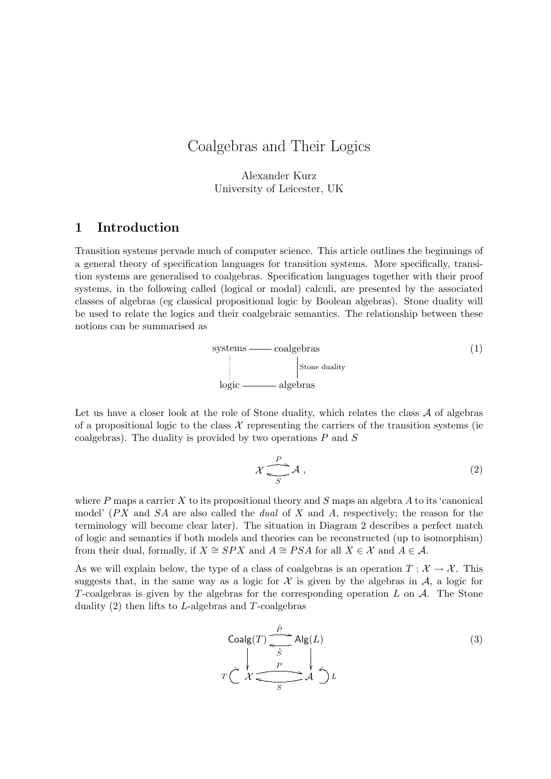# Coalgebras and Their Logics

Alexander Kurz University of Leicester, UK

# 1 Introduction

Transition systems pervade much of computer science. This article outlines the beginnings of a general theory of specification languages for transition systems. More specifically, transition systems are generalised to coalgebras. Specification languages together with their proof systems, in the following called (logical or modal) calculi, are presented by the associated classes of algebras (eg classical propositional logic by Boolean algebras). Stone duality will be used to relate the logics and their coalgebraic semantics. The relationship between these notions can be summarised as

$$
systems — coalgebras (1)
$$
\n
$$
close\ duality
$$
\n
$$
logic — algebras
$$

Let us have a closer look at the role of Stone duality, which relates the class  $A$  of algebras of a propositional logic to the class  $\mathcal X$  representing the carriers of the transition systems (ie coalgebras). The duality is provided by two operations  $P$  and  $S$ 

$$
\mathcal{X} \xrightarrow[S]{P} \mathcal{A} , \tag{2}
$$

where P maps a carrier X to its propositional theory and S maps an algebra A to its 'canonical model'  $(PX)$  and  $SA$  are also called the *dual* of X and A, respectively; the reason for the terminology will become clear later). The situation in Diagram 2 describes a perfect match of logic and semantics if both models and theories can be reconstructed (up to isomorphism) from their dual, formally, if  $X \cong SPX$  and  $A \cong PSA$  for all  $X \in \mathcal{X}$  and  $A \in \mathcal{A}$ .

As we will explain below, the type of a class of coalgebras is an operation  $T : \mathcal{X} \to \mathcal{X}$ . This suggests that, in the same way as a logic for  $\mathcal X$  is given by the algebras in  $\mathcal A$ , a logic for T-coalgebras is given by the algebras for the corresponding operation  $L$  on  $A$ . The Stone duality  $(2)$  then lifts to L-algebras and T-coalgebras

$$
\text{Coalg}(T) \xrightarrow{\tilde{P}} \text{Alg}(L)
$$
\n
$$
T \xleftarrow{\chi} \xleftarrow{\qquad} \text{P} \xleftarrow{\chi} \xleftarrow{\qquad} \text{A} \xleftarrow{\qquad} L
$$
\n
$$
(3)
$$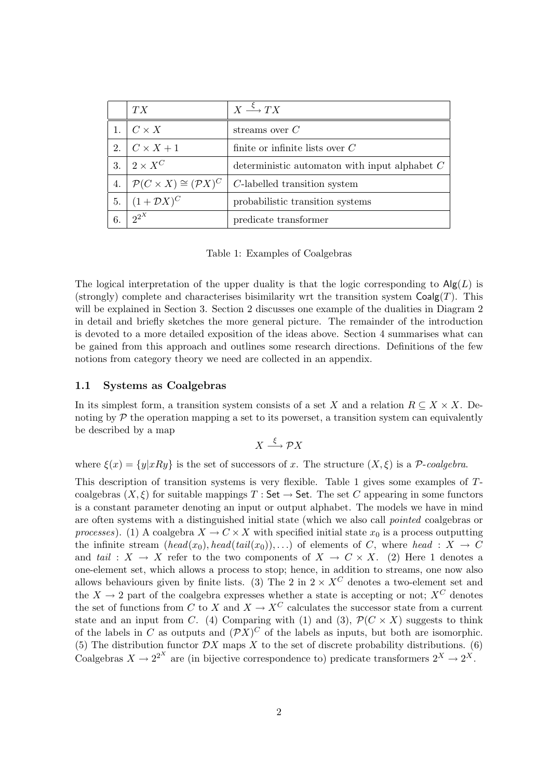|    | TX                                               | $X \stackrel{\xi}{\longrightarrow} TX$          |
|----|--------------------------------------------------|-------------------------------------------------|
|    | $C \times X$                                     | streams over $C$                                |
| 2. | $C \times X + 1$                                 | finite or infinite lists over $C$               |
| 3. | $\perp 2 \times X^C$                             | deterministic automaton with input alphabet $C$ |
| 4. | $\mathcal{P}(C \times X) \cong (\mathcal{P}X)^C$ | C-labelled transition system                    |
| 5. | $(1 + \mathcal{D}X)^C$                           | probabilistic transition systems                |
| 6. | $2^{2^X}$                                        | predicate transformer                           |

Table 1: Examples of Coalgebras

The logical interpretation of the upper duality is that the logic corresponding to  $\text{Alg}(L)$  is (strongly) complete and characterises bisimilarity wrt the transition system  $Coalg(T)$ . This will be explained in Section 3. Section 2 discusses one example of the dualities in Diagram 2 in detail and briefly sketches the more general picture. The remainder of the introduction is devoted to a more detailed exposition of the ideas above. Section 4 summarises what can be gained from this approach and outlines some research directions. Definitions of the few notions from category theory we need are collected in an appendix.

#### 1.1 Systems as Coalgebras

In its simplest form, a transition system consists of a set X and a relation  $R \subseteq X \times X$ . Denoting by  $\mathcal P$  the operation mapping a set to its powerset, a transition system can equivalently be described by a map

$$
X \xrightarrow{\xi} \mathcal{P}X
$$

where  $\xi(x) = \{y|xRy\}$  is the set of successors of x. The structure  $(X,\xi)$  is a P-coalgebra.

This description of transition systems is very flexible. Table 1 gives some examples of Tcoalgebras  $(X, \xi)$  for suitable mappings T : Set  $\rightarrow$  Set. The set C appearing in some functors is a constant parameter denoting an input or output alphabet. The models we have in mind are often systems with a distinguished initial state (which we also call pointed coalgebras or processes). (1) A coalgebra  $X \to C \times X$  with specified initial state  $x_0$  is a process outputting the infinite stream  $(head(x_0), head(tail(x_0)), ...)$  of elements of C, where head :  $X \rightarrow C$ and tail :  $X \to X$  refer to the two components of  $X \to C \times X$ . (2) Here 1 denotes a one-element set, which allows a process to stop; hence, in addition to streams, one now also allows behaviours given by finite lists. (3) The 2 in  $2 \times X^C$  denotes a two-element set and the  $X \to 2$  part of the coalgebra expresses whether a state is accepting or not;  $X^C$  denotes the set of functions from C to X and  $X \to X^C$  calculates the successor state from a current state and an input from C. (4) Comparing with (1) and (3),  $\mathcal{P}(C \times X)$  suggests to think of the labels in C as outputs and  $(\mathcal{P}X)^C$  of the labels as inputs, but both are isomorphic. (5) The distribution functor  $\mathcal{D}X$  maps X to the set of discrete probability distributions. (6) Coalgebras  $X \to 2^{2^X}$  are (in bijective correspondence to) predicate transformers  $2^X \to 2^X$ .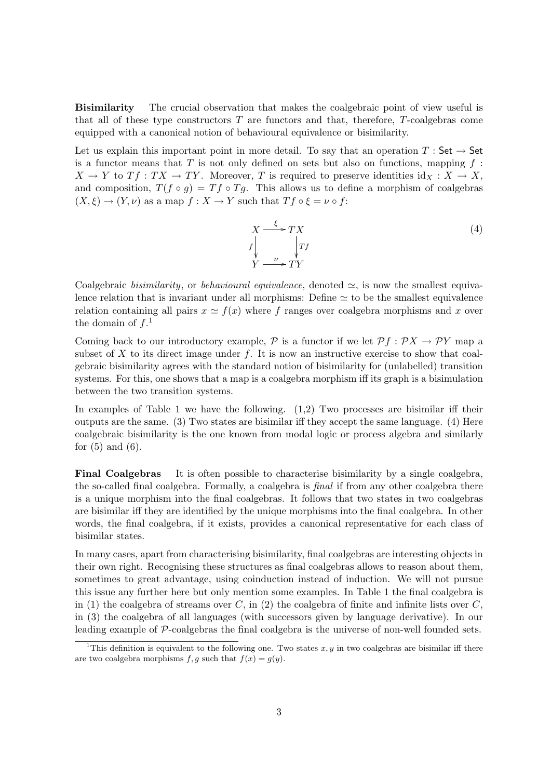Bisimilarity The crucial observation that makes the coalgebraic point of view useful is that all of these type constructors  $T$  are functors and that, therefore,  $T$ -coalgebras come equipped with a canonical notion of behavioural equivalence or bisimilarity.

Let us explain this important point in more detail. To say that an operation  $T : Set \rightarrow Set$ is a functor means that T is not only defined on sets but also on functions, mapping  $f$ :  $X \to Y$  to  $Tf : TX \to TY$ . Moreover, T is required to preserve identities  $id_X : X \to X$ , and composition,  $T(f \circ q) = Tf \circ Tg$ . This allows us to define a morphism of coalgebras  $(X, \xi) \to (Y, \nu)$  as a map  $f : X \to Y$  such that  $Tf \circ \xi = \nu \circ f$ :



Coalgebraic bisimilarity, or behavioural equivalence, denoted  $\simeq$ , is now the smallest equivalence relation that is invariant under all morphisms: Define  $\simeq$  to be the smallest equivalence relation containing all pairs  $x \simeq f(x)$  where f ranges over coalgebra morphisms and x over the domain of  $f<sup>1</sup>$ 

Coming back to our introductory example,  $\mathcal P$  is a functor if we let  $\mathcal P f : \mathcal P X \to \mathcal P Y$  map a subset of  $X$  to its direct image under  $f$ . It is now an instructive exercise to show that coalgebraic bisimilarity agrees with the standard notion of bisimilarity for (unlabelled) transition systems. For this, one shows that a map is a coalgebra morphism iff its graph is a bisimulation between the two transition systems.

In examples of Table 1 we have the following. (1,2) Two processes are bisimilar iff their outputs are the same. (3) Two states are bisimilar iff they accept the same language. (4) Here coalgebraic bisimilarity is the one known from modal logic or process algebra and similarly for  $(5)$  and  $(6)$ .

Final Coalgebras It is often possible to characterise bisimilarity by a single coalgebra, the so-called final coalgebra. Formally, a coalgebra is final if from any other coalgebra there is a unique morphism into the final coalgebras. It follows that two states in two coalgebras are bisimilar iff they are identified by the unique morphisms into the final coalgebra. In other words, the final coalgebra, if it exists, provides a canonical representative for each class of bisimilar states.

In many cases, apart from characterising bisimilarity, final coalgebras are interesting objects in their own right. Recognising these structures as final coalgebras allows to reason about them, sometimes to great advantage, using coinduction instead of induction. We will not pursue this issue any further here but only mention some examples. In Table 1 the final coalgebra is in (1) the coalgebra of streams over  $C$ , in (2) the coalgebra of finite and infinite lists over  $C$ , in (3) the coalgebra of all languages (with successors given by language derivative). In our leading example of P-coalgebras the final coalgebra is the universe of non-well founded sets.

<sup>&</sup>lt;sup>1</sup>This definition is equivalent to the following one. Two states  $x, y$  in two coalgebras are bisimilar iff there are two coalgebra morphisms  $f, g$  such that  $f(x) = g(y)$ .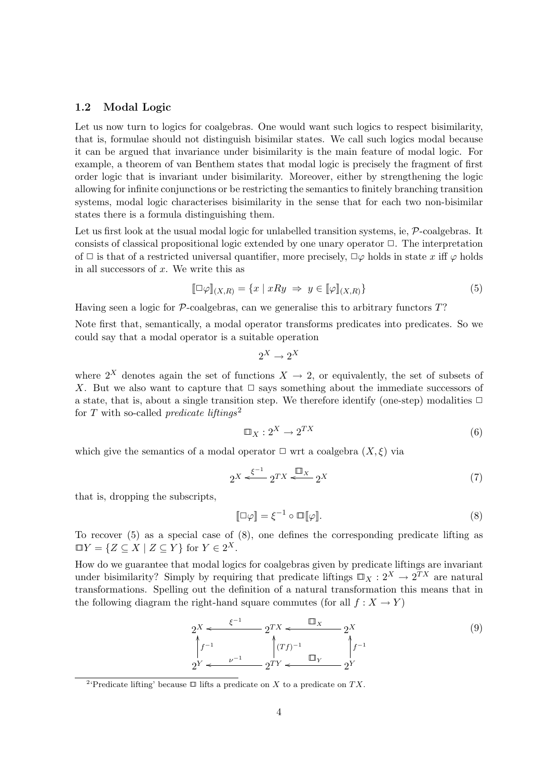#### 1.2 Modal Logic

Let us now turn to logics for coalgebras. One would want such logics to respect bisimilarity, that is, formulae should not distinguish bisimilar states. We call such logics modal because it can be argued that invariance under bisimilarity is the main feature of modal logic. For example, a theorem of van Benthem states that modal logic is precisely the fragment of first order logic that is invariant under bisimilarity. Moreover, either by strengthening the logic allowing for infinite conjunctions or be restricting the semantics to finitely branching transition systems, modal logic characterises bisimilarity in the sense that for each two non-bisimilar states there is a formula distinguishing them.

Let us first look at the usual modal logic for unlabelled transition systems, ie,  $\mathcal{P}$ -coalgebras. It consists of classical propositional logic extended by one unary operator  $\Box$ . The interpretation of  $\Box$  is that of a restricted universal quantifier, more precisely,  $\Box\varphi$  holds in state x iff  $\varphi$  holds in all successors of  $x$ . We write this as

$$
[\Box \varphi]_{(X,R)} = \{x \mid xRy \implies y \in [\varphi]_{(X,R)}\} \tag{5}
$$

Having seen a logic for  $P$ -coalgebras, can we generalise this to arbitrary functors  $T$ ?

Note first that, semantically, a modal operator transforms predicates into predicates. So we could say that a modal operator is a suitable operation

$$
2^X \to 2^X
$$

where  $2^X$  denotes again the set of functions  $X \to 2$ , or equivalently, the set of subsets of X. But we also want to capture that  $\Box$  says something about the immediate successors of a state, that is, about a single transition step. We therefore identify (one-step) modalities  $\Box$ for T with so-called *predicate liftings*<sup>2</sup>

$$
\Box_X : 2^X \to 2^{TX} \tag{6}
$$

which give the semantics of a modal operator  $\Box$  wrt a coalgebra  $(X, \xi)$  via

$$
2^X \xleftarrow{\xi^{-1}} 2^{TX} \xleftarrow{\Box_X} 2^X \tag{7}
$$

that is, dropping the subscripts,

$$
[\![\Box \varphi]\!] = \xi^{-1} \circ \Box [\![\varphi]\!]. \tag{8}
$$

To recover (5) as a special case of (8), one defines the corresponding predicate lifting as  $\Box Y = \{ Z \subseteq X \mid Z \subseteq Y \}$  for  $Y \in 2^X$ .

How do we guarantee that modal logics for coalgebras given by predicate liftings are invariant under bisimilarity? Simply by requiring that predicate liftings  $\Box_X : 2^X \to 2^{TX}$  are natural transformations. Spelling out the definition of a natural transformation this means that in the following diagram the right-hand square commutes (for all  $f: X \to Y$ )

$$
2^{X} \leftarrow \frac{\xi^{-1}}{2^{TX}} \quad 2^{TX} \leftarrow \frac{\square_X}{2^{XY}} \quad 2^{X}
$$
\n
$$
\int_{2^{Y}}^{1} f^{-1} \qquad \int_{2^{TY}}^{1} (Tf)^{-1} \qquad \int_{Y}^{1} f^{-1}
$$
\n
$$
(9)
$$

<sup>&</sup>lt;sup>2</sup>'Predicate lifting' because  $\Box$  lifts a predicate on X to a predicate on TX.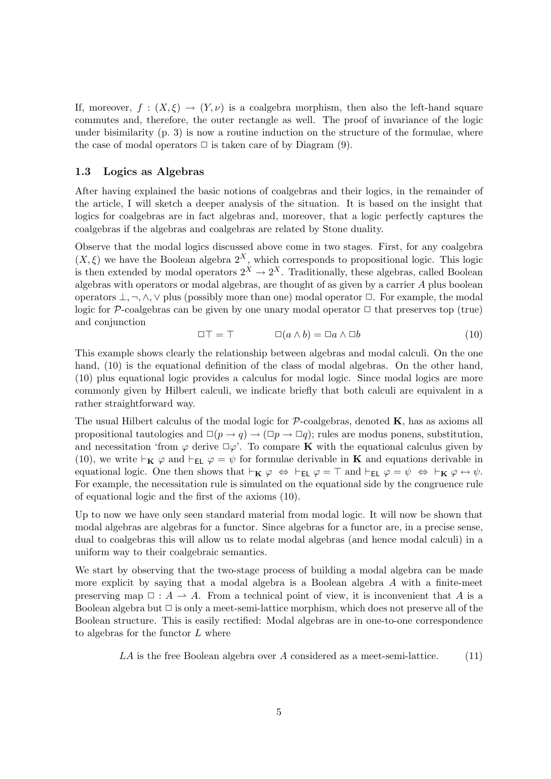If, moreover,  $f: (X, \xi) \to (Y, \nu)$  is a coalgebra morphism, then also the left-hand square commutes and, therefore, the outer rectangle as well. The proof of invariance of the logic under bisimilarity  $(p, 3)$  is now a routine induction on the structure of the formulae, where the case of modal operators  $\Box$  is taken care of by Diagram (9).

#### 1.3 Logics as Algebras

After having explained the basic notions of coalgebras and their logics, in the remainder of the article, I will sketch a deeper analysis of the situation. It is based on the insight that logics for coalgebras are in fact algebras and, moreover, that a logic perfectly captures the coalgebras if the algebras and coalgebras are related by Stone duality.

Observe that the modal logics discussed above come in two stages. First, for any coalgebra  $(X,\xi)$  we have the Boolean algebra  $2^X$ , which corresponds to propositional logic. This logic is then extended by modal operators  $2^X \to 2^X$ . Traditionally, these algebras, called Boolean algebras with operators or modal algebras, are thought of as given by a carrier A plus boolean operators  $\bot, \neg, \wedge, \vee$  plus (possibly more than one) modal operator  $\Box$ . For example, the modal logic for  $\mathcal P$ -coalgebras can be given by one unary modal operator  $\Box$  that preserves top (true) and conjunction

$$
\Box \top = \top \qquad \Box(a \wedge b) = \Box a \wedge \Box b \tag{10}
$$

This example shows clearly the relationship between algebras and modal calculi. On the one hand, (10) is the equational definition of the class of modal algebras. On the other hand, (10) plus equational logic provides a calculus for modal logic. Since modal logics are more commonly given by Hilbert calculi, we indicate briefly that both calculi are equivalent in a rather straightforward way.

The usual Hilbert calculus of the modal logic for  $P$ -coalgebras, denoted  $K$ , has as axioms all propositional tautologies and  $\Box(p \rightarrow q) \rightarrow (\Box p \rightarrow \Box q)$ ; rules are modus ponens, substitution, and necessitation 'from  $\varphi$  derive  $\Box \varphi'$ . To compare **K** with the equational calculus given by (10), we write  $\vdash_{\mathbf{K}} \varphi$  and  $\vdash_{\mathsf{EL}} \varphi = \psi$  for formulae derivable in **K** and equations derivable in equational logic. One then shows that  $\vdash_{\mathbf{K}} \varphi \Leftrightarrow \vdash_{\mathbf{EL}} \varphi = \top$  and  $\vdash_{\mathbf{EL}} \varphi = \psi \Leftrightarrow \vdash_{\mathbf{K}} \varphi \leftrightarrow \psi$ . For example, the necessitation rule is simulated on the equational side by the congruence rule of equational logic and the first of the axioms (10).

Up to now we have only seen standard material from modal logic. It will now be shown that modal algebras are algebras for a functor. Since algebras for a functor are, in a precise sense, dual to coalgebras this will allow us to relate modal algebras (and hence modal calculi) in a uniform way to their coalgebraic semantics.

We start by observing that the two-stage process of building a modal algebra can be made more explicit by saying that a modal algebra is a Boolean algebra  $A$  with a finite-meet preserving map  $\Box : A \rightarrow A$ . From a technical point of view, it is inconvenient that A is a Boolean algebra but  $\Box$  is only a meet-semi-lattice morphism, which does not preserve all of the Boolean structure. This is easily rectified: Modal algebras are in one-to-one correspondence to algebras for the functor  $L$  where

 $LA$  is the free Boolean algebra over A considered as a meet-semi-lattice. (11)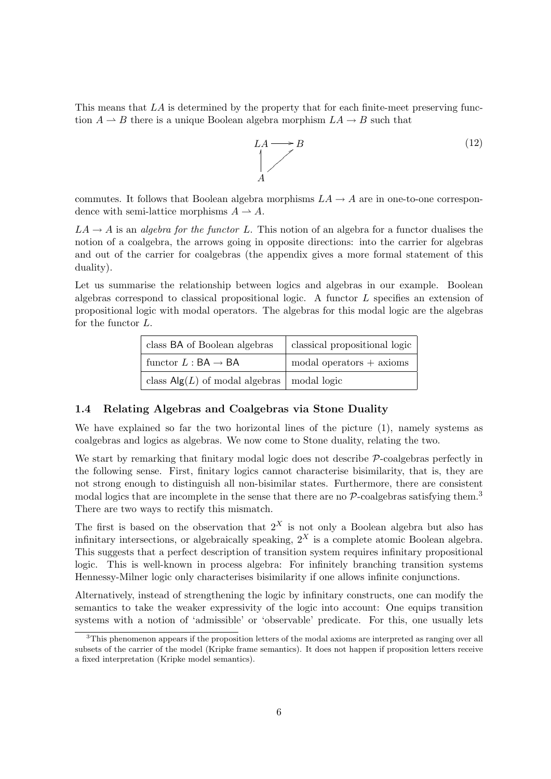This means that LA is determined by the property that for each finite-meet preserving function  $A \to B$  there is a unique Boolean algebra morphism  $LA \to B$  such that

$$
LA \longrightarrow B
$$
\n
$$
A
$$
\n(12)

commutes. It follows that Boolean algebra morphisms  $LA \rightarrow A$  are in one-to-one correspondence with semi-lattice morphisms  $A \rightarrow A$ .

 $LA \rightarrow A$  is an *algebra for the functor L*. This notion of an algebra for a functor dualises the notion of a coalgebra, the arrows going in opposite directions: into the carrier for algebras and out of the carrier for coalgebras (the appendix gives a more formal statement of this duality).

Let us summarise the relationship between logics and algebras in our example. Boolean algebras correspond to classical propositional logic. A functor L specifies an extension of propositional logic with modal operators. The algebras for this modal logic are the algebras for the functor L.

| class BA of Boolean algebras              | classical propositional logic |  |
|-------------------------------------------|-------------------------------|--|
| functor $L : BA \rightarrow BA$           | $\mod$ al operators + axioms  |  |
| class $\mathsf{Alg}(L)$ of modal algebras | modal logic                   |  |

#### 1.4 Relating Algebras and Coalgebras via Stone Duality

We have explained so far the two horizontal lines of the picture (1), namely systems as coalgebras and logics as algebras. We now come to Stone duality, relating the two.

We start by remarking that finitary modal logic does not describe  $P$ -coalgebras perfectly in the following sense. First, finitary logics cannot characterise bisimilarity, that is, they are not strong enough to distinguish all non-bisimilar states. Furthermore, there are consistent modal logics that are incomplete in the sense that there are no  $\mathcal{P}\text{-coalgebras satisfying them.<sup>3</sup>$ There are two ways to rectify this mismatch.

The first is based on the observation that  $2^X$  is not only a Boolean algebra but also has infinitary intersections, or algebraically speaking,  $2^X$  is a complete atomic Boolean algebra. This suggests that a perfect description of transition system requires infinitary propositional logic. This is well-known in process algebra: For infinitely branching transition systems Hennessy-Milner logic only characterises bisimilarity if one allows infinite conjunctions.

Alternatively, instead of strengthening the logic by infinitary constructs, one can modify the semantics to take the weaker expressivity of the logic into account: One equips transition systems with a notion of 'admissible' or 'observable' predicate. For this, one usually lets

 $3$ This phenomenon appears if the proposition letters of the modal axioms are interpreted as ranging over all subsets of the carrier of the model (Kripke frame semantics). It does not happen if proposition letters receive a fixed interpretation (Kripke model semantics).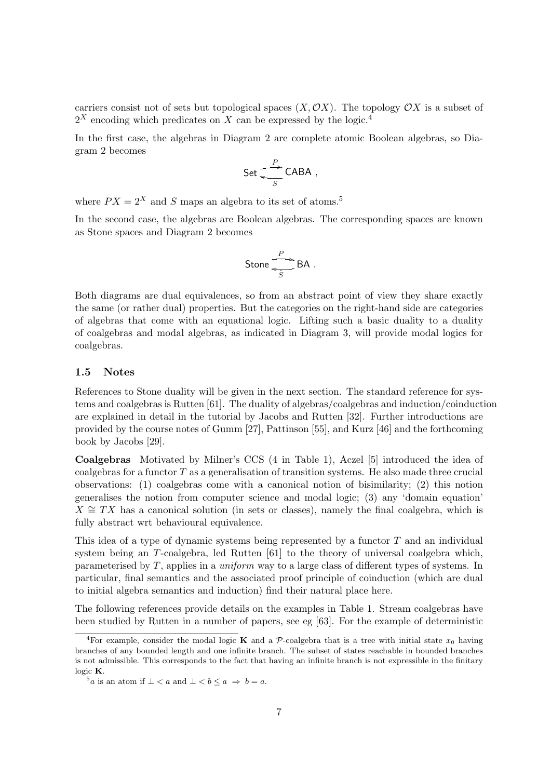carriers consist not of sets but topological spaces  $(X, \mathcal{O}X)$ . The topology  $\mathcal{O}X$  is a subset of  $2^X$  encoding which predicates on X can be expressed by the logic.<sup>4</sup>

In the first case, the algebras in Diagram 2 are complete atomic Boolean algebras, so Diagram 2 becomes

$$
\mathsf{Set} \stackrel{P}{\underset{S}{\longrightarrow}} \mathsf{CABA} \ ,
$$

where  $PX = 2^X$  and S maps an algebra to its set of atoms.<sup>5</sup>

In the second case, the algebras are Boolean algebras. The corresponding spaces are known as Stone spaces and Diagram 2 becomes

$$
Stone \xrightarrow[S]{P} BA .
$$

Both diagrams are dual equivalences, so from an abstract point of view they share exactly the same (or rather dual) properties. But the categories on the right-hand side are categories of algebras that come with an equational logic. Lifting such a basic duality to a duality of coalgebras and modal algebras, as indicated in Diagram 3, will provide modal logics for coalgebras.

### 1.5 Notes

References to Stone duality will be given in the next section. The standard reference for systems and coalgebras is Rutten [61]. The duality of algebras/coalgebras and induction/coinduction are explained in detail in the tutorial by Jacobs and Rutten [32]. Further introductions are provided by the course notes of Gumm [27], Pattinson [55], and Kurz [46] and the forthcoming book by Jacobs [29].

Coalgebras Motivated by Milner's CCS (4 in Table 1), Aczel [5] introduced the idea of coalgebras for a functor  $T$  as a generalisation of transition systems. He also made three crucial observations: (1) coalgebras come with a canonical notion of bisimilarity; (2) this notion generalises the notion from computer science and modal logic; (3) any 'domain equation'  $X \cong TX$  has a canonical solution (in sets or classes), namely the final coalgebra, which is fully abstract wrt behavioural equivalence.

This idea of a type of dynamic systems being represented by a functor  $T$  and an individual system being an T-coalgebra, led Rutten [61] to the theory of universal coalgebra which, parameterised by  $T$ , applies in a *uniform* way to a large class of different types of systems. In particular, final semantics and the associated proof principle of coinduction (which are dual to initial algebra semantics and induction) find their natural place here.

The following references provide details on the examples in Table 1. Stream coalgebras have been studied by Rutten in a number of papers, see eg [63]. For the example of deterministic

<sup>&</sup>lt;sup>4</sup>For example, consider the modal logic **K** and a P-coalgebra that is a tree with initial state  $x_0$  having branches of any bounded length and one infinite branch. The subset of states reachable in bounded branches is not admissible. This corresponds to the fact that having an infinite branch is not expressible in the finitary logic K.

 $5a$  is an atom if  $\bot < a$  and  $\bot < b \le a \Rightarrow b = a$ .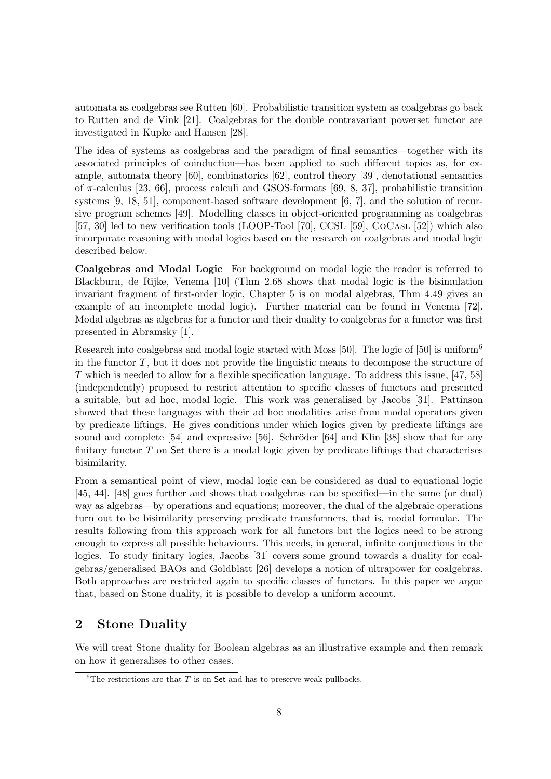automata as coalgebras see Rutten [60]. Probabilistic transition system as coalgebras go back to Rutten and de Vink [21]. Coalgebras for the double contravariant powerset functor are investigated in Kupke and Hansen [28].

The idea of systems as coalgebras and the paradigm of final semantics—together with its associated principles of coinduction—has been applied to such different topics as, for example, automata theory [60], combinatorics [62], control theory [39], denotational semantics of  $\pi$ -calculus [23, 66], process calculi and GSOS-formats [69, 8, 37], probabilistic transition systems [9, 18, 51], component-based software development [6, 7], and the solution of recursive program schemes [49]. Modelling classes in object-oriented programming as coalgebras [57, 30] led to new verification tools (LOOP-Tool [70], CCSL [59], CoCasl [52]) which also incorporate reasoning with modal logics based on the research on coalgebras and modal logic described below.

Coalgebras and Modal Logic For background on modal logic the reader is referred to Blackburn, de Rijke, Venema [10] (Thm 2.68 shows that modal logic is the bisimulation invariant fragment of first-order logic, Chapter 5 is on modal algebras, Thm 4.49 gives an example of an incomplete modal logic). Further material can be found in Venema [72]. Modal algebras as algebras for a functor and their duality to coalgebras for a functor was first presented in Abramsky [1].

Research into coalgebras and modal logic started with Moss [50]. The logic of [50] is uniform<sup>6</sup> in the functor  $T$ , but it does not provide the linguistic means to decompose the structure of  $T$  which is needed to allow for a flexible specification language. To address this issue, [47, 58] (independently) proposed to restrict attention to specific classes of functors and presented a suitable, but ad hoc, modal logic. This work was generalised by Jacobs [31]. Pattinson showed that these languages with their ad hoc modalities arise from modal operators given by predicate liftings. He gives conditions under which logics given by predicate liftings are sound and complete  $[54]$  and expressive  $[56]$ . Schröder  $[64]$  and Klin  $[38]$  show that for any finitary functor  $T$  on Set there is a modal logic given by predicate liftings that characterises bisimilarity.

From a semantical point of view, modal logic can be considered as dual to equational logic [45, 44]. [48] goes further and shows that coalgebras can be specified—in the same (or dual) way as algebras—by operations and equations; moreover, the dual of the algebraic operations turn out to be bisimilarity preserving predicate transformers, that is, modal formulae. The results following from this approach work for all functors but the logics need to be strong enough to express all possible behaviours. This needs, in general, infinite conjunctions in the logics. To study finitary logics, Jacobs [31] covers some ground towards a duality for coalgebras/generalised BAOs and Goldblatt [26] develops a notion of ultrapower for coalgebras. Both approaches are restricted again to specific classes of functors. In this paper we argue that, based on Stone duality, it is possible to develop a uniform account.

# 2 Stone Duality

We will treat Stone duality for Boolean algebras as an illustrative example and then remark on how it generalises to other cases.

<sup>&</sup>lt;sup>6</sup>The restrictions are that  $T$  is on  $\mathsf{Set}$  and has to preserve weak pullbacks.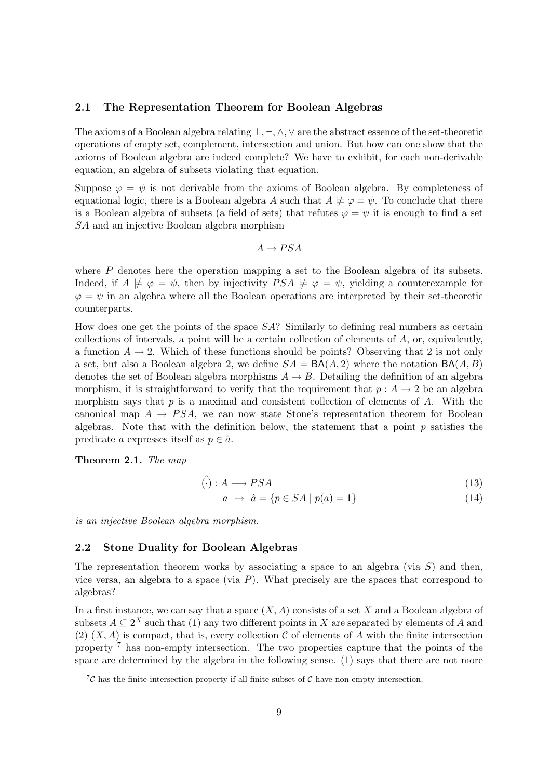### 2.1 The Representation Theorem for Boolean Algebras

The axioms of a Boolean algebra relating ⊥,¬,∧,∨ are the abstract essence of the set-theoretic operations of empty set, complement, intersection and union. But how can one show that the axioms of Boolean algebra are indeed complete? We have to exhibit, for each non-derivable equation, an algebra of subsets violating that equation.

Suppose  $\varphi = \psi$  is not derivable from the axioms of Boolean algebra. By completeness of equational logic, there is a Boolean algebra A such that  $A \not\models \varphi = \psi$ . To conclude that there is a Boolean algebra of subsets (a field of sets) that refutes  $\varphi = \psi$  it is enough to find a set SA and an injective Boolean algebra morphism

$$
A \to PSA
$$

where  $P$  denotes here the operation mapping a set to the Boolean algebra of its subsets. Indeed, if  $A \not\models \varphi = \psi$ , then by injectivity  $PSA \not\models \varphi = \psi$ , yielding a counterexample for  $\varphi = \psi$  in an algebra where all the Boolean operations are interpreted by their set-theoretic counterparts.

How does one get the points of the space SA? Similarly to defining real numbers as certain collections of intervals, a point will be a certain collection of elements of  $A$ , or, equivalently, a function  $A \rightarrow 2$ . Which of these functions should be points? Observing that 2 is not only a set, but also a Boolean algebra 2, we define  $SA = BA(A, 2)$  where the notation  $BA(A, B)$ denotes the set of Boolean algebra morphisms  $A \rightarrow B$ . Detailing the definition of an algebra morphism, it is straightforward to verify that the requirement that  $p : A \rightarrow 2$  be an algebra morphism says that  $p$  is a maximal and consistent collection of elements of  $A$ . With the canonical map  $A \rightarrow PSA$ , we can now state Stone's representation theorem for Boolean algebras. Note that with the definition below, the statement that a point  $p$  satisfies the predicate a expresses itself as  $p \in \hat{a}$ .

Theorem 2.1. The map

$$
\hat{(\cdot)} : A \longrightarrow PSA \tag{13}
$$

$$
a \mapsto \hat{a} = \{ p \in SA \mid p(a) = 1 \}
$$
\n
$$
(14)
$$

is an injective Boolean algebra morphism.

#### 2.2 Stone Duality for Boolean Algebras

The representation theorem works by associating a space to an algebra (via  $S$ ) and then, vice versa, an algebra to a space (via  $P$ ). What precisely are the spaces that correspond to algebras?

In a first instance, we can say that a space  $(X, A)$  consists of a set X and a Boolean algebra of subsets  $A \subseteq 2^X$  such that (1) any two different points in X are separated by elements of A and (2)  $(X, A)$  is compact, that is, every collection C of elements of A with the finite intersection property<sup>7</sup> has non-empty intersection. The two properties capture that the points of the space are determined by the algebra in the following sense. (1) says that there are not more

<sup>&</sup>lt;sup>7</sup>C has the finite-intersection property if all finite subset of C have non-empty intersection.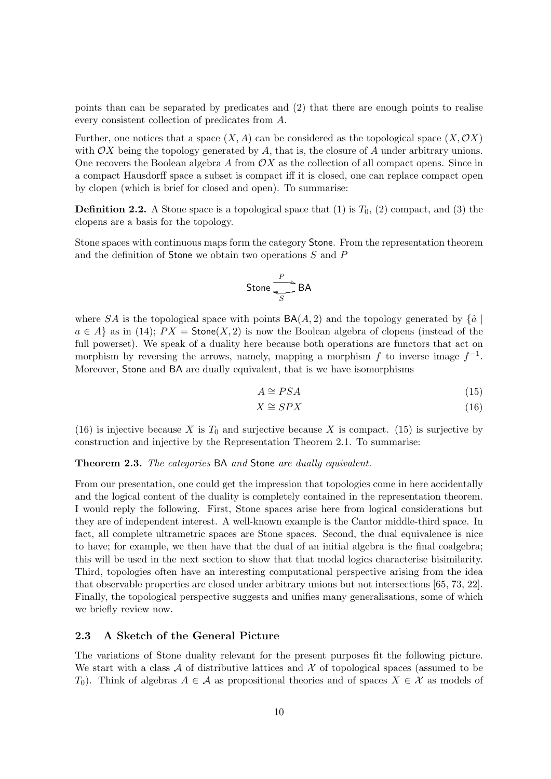points than can be separated by predicates and (2) that there are enough points to realise every consistent collection of predicates from A.

Further, one notices that a space  $(X, A)$  can be considered as the topological space  $(X, \mathcal{O}X)$ with  $\mathcal{O}X$  being the topology generated by A, that is, the closure of A under arbitrary unions. One recovers the Boolean algebra A from  $\mathcal{O}X$  as the collection of all compact opens. Since in a compact Hausdorff space a subset is compact iff it is closed, one can replace compact open by clopen (which is brief for closed and open). To summarise:

**Definition 2.2.** A Stone space is a topological space that (1) is  $T_0$ , (2) compact, and (3) the clopens are a basis for the topology.

Stone spaces with continuous maps form the category Stone. From the representation theorem and the definition of Stone we obtain two operations S and P

$$
\mathsf{Stone} \xrightarrow{\mathit{P}} \mathsf{BA}
$$

where SA is the topological space with points  $BA(A, 2)$  and the topology generated by  $\{\hat{a}\}\$  $a \in A$  as in (14);  $PX =$  Stone(X, 2) is now the Boolean algebra of clopens (instead of the full powerset). We speak of a duality here because both operations are functors that act on morphism by reversing the arrows, namely, mapping a morphism f to inverse image  $f^{-1}$ . Moreover, Stone and BA are dually equivalent, that is we have isomorphisms

$$
A \cong PSA \tag{15}
$$

$$
X \cong SPX \tag{16}
$$

(16) is injective because X is  $T_0$  and surjective because X is compact. (15) is surjective by construction and injective by the Representation Theorem 2.1. To summarise:

#### Theorem 2.3. The categories BA and Stone are dually equivalent.

From our presentation, one could get the impression that topologies come in here accidentally and the logical content of the duality is completely contained in the representation theorem. I would reply the following. First, Stone spaces arise here from logical considerations but they are of independent interest. A well-known example is the Cantor middle-third space. In fact, all complete ultrametric spaces are Stone spaces. Second, the dual equivalence is nice to have; for example, we then have that the dual of an initial algebra is the final coalgebra; this will be used in the next section to show that that modal logics characterise bisimilarity. Third, topologies often have an interesting computational perspective arising from the idea that observable properties are closed under arbitrary unions but not intersections [65, 73, 22]. Finally, the topological perspective suggests and unifies many generalisations, some of which we briefly review now.

### 2.3 A Sketch of the General Picture

The variations of Stone duality relevant for the present purposes fit the following picture. We start with a class A of distributive lattices and X of topological spaces (assumed to be T<sub>0</sub>). Think of algebras  $A \in \mathcal{A}$  as propositional theories and of spaces  $X \in \mathcal{X}$  as models of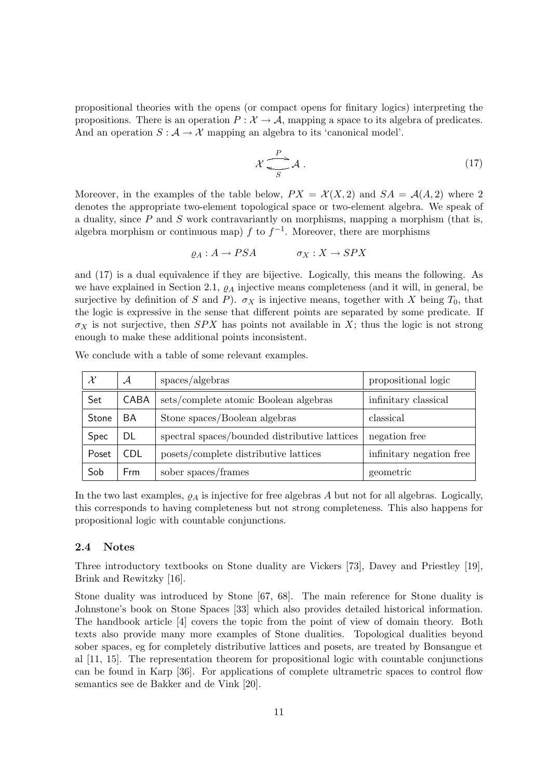propositional theories with the opens (or compact opens for finitary logics) interpreting the propositions. There is an operation  $P : \mathcal{X} \to \mathcal{A}$ , mapping a space to its algebra of predicates. And an operation  $S : A \to \mathcal{X}$  mapping an algebra to its 'canonical model'.

$$
\mathcal{X} \xrightarrow[S]{P} \mathcal{A} \tag{17}
$$

Moreover, in the examples of the table below,  $PX = \mathcal{X}(X, 2)$  and  $SA = \mathcal{A}(A, 2)$  where 2 denotes the appropriate two-element topological space or two-element algebra. We speak of a duality, since  $P$  and  $S$  work contravariantly on morphisms, mapping a morphism (that is, algebra morphism or continuous map) f to  $f^{-1}$ . Moreover, there are morphisms

$$
\varrho_A: A \to PSA \qquad \qquad \sigma_X: X \to SPX
$$

and (17) is a dual equivalence if they are bijective. Logically, this means the following. As we have explained in Section 2.1,  $\rho_A$  injective means completeness (and it will, in general, be surjective by definition of S and P).  $\sigma_X$  is injective means, together with X being  $T_0$ , that the logic is expressive in the sense that different points are separated by some predicate. If  $\sigma_X$  is not surjective, then SPX has points not available in X; thus the logic is not strong enough to make these additional points inconsistent.

|       | $\mathcal A$ | spaces/algebras                               | propositional logic      |
|-------|--------------|-----------------------------------------------|--------------------------|
| Set   | CABA         | sets/complete atomic Boolean algebras         | infinitary classical     |
| Stone | BA           | Stone spaces/Boolean algebras                 | classical                |
| Spec  | DL           | spectral spaces/bounded distributive lattices | negation free            |
| Poset | CDL.         | posets/complete distributive lattices         | infinitary negation free |
| Sob   | <b>Frm</b>   | sober spaces/frames                           | geometric                |

We conclude with a table of some relevant examples.

In the two last examples,  $\rho_A$  is injective for free algebras A but not for all algebras. Logically, this corresponds to having completeness but not strong completeness. This also happens for propositional logic with countable conjunctions.

#### 2.4 Notes

Three introductory textbooks on Stone duality are Vickers [73], Davey and Priestley [19], Brink and Rewitzky [16].

Stone duality was introduced by Stone [67, 68]. The main reference for Stone duality is Johnstone's book on Stone Spaces [33] which also provides detailed historical information. The handbook article [4] covers the topic from the point of view of domain theory. Both texts also provide many more examples of Stone dualities. Topological dualities beyond sober spaces, eg for completely distributive lattices and posets, are treated by Bonsangue et al [11, 15]. The representation theorem for propositional logic with countable conjunctions can be found in Karp [36]. For applications of complete ultrametric spaces to control flow semantics see de Bakker and de Vink [20].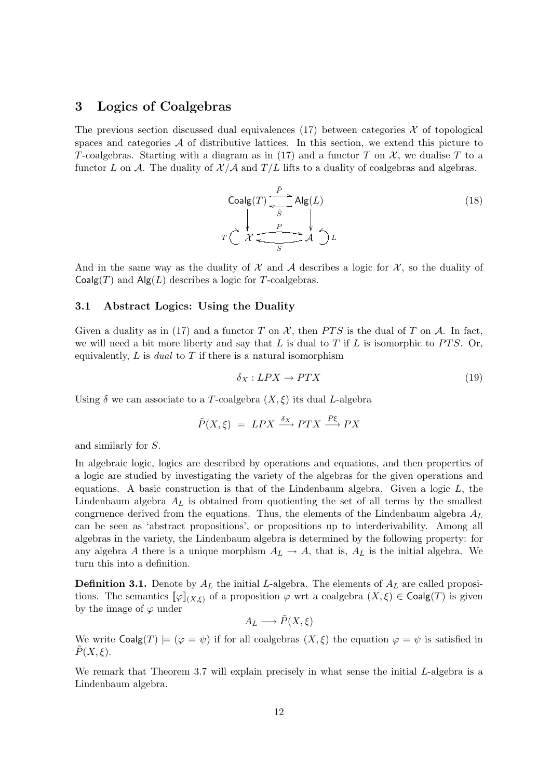### 3 Logics of Coalgebras

The previous section discussed dual equivalences (17) between categories  $\mathcal X$  of topological spaces and categories  $A$  of distributive lattices. In this section, we extend this picture to T-coalgebras. Starting with a diagram as in (17) and a functor T on  $\mathcal{X}$ , we dualise T to a functor L on A. The duality of  $\mathcal{X}/\mathcal{A}$  and  $T/L$  lifts to a duality of coalgebras and algebras.

$$
\text{Coalg}(T) \xrightarrow{\tilde{P}} \text{Alg}(L)
$$
\n
$$
T \xleftarrow{\chi} \xleftarrow{\rho} \xleftarrow{\chi} \xleftarrow{\chi} \xleftarrow{\chi} \Delta \xleftarrow{\chi} L
$$
\n
$$
(18)
$$

And in the same way as the duality of  $\mathcal X$  and  $\mathcal A$  describes a logic for  $\mathcal X$ , so the duality of  $Coalg(T)$  and  $Alg(L)$  describes a logic for T-coalgebras.

#### 3.1 Abstract Logics: Using the Duality

Given a duality as in (17) and a functor T on X, then PTS is the dual of T on A. In fact, we will need a bit more liberty and say that L is dual to T if L is isomorphic to  $PTS$ . Or, equivalently,  $L$  is *dual* to  $T$  if there is a natural isomorphism

$$
\delta_X: LPX \to PTX \tag{19}
$$

Using  $\delta$  we can associate to a T-coalgebra  $(X, \xi)$  its dual L-algebra

$$
\tilde{P}(X,\xi) = LPX \xrightarrow{\delta_X} PTX \xrightarrow{P\xi} PX
$$

and similarly for S.

In algebraic logic, logics are described by operations and equations, and then properties of a logic are studied by investigating the variety of the algebras for the given operations and equations. A basic construction is that of the Lindenbaum algebra. Given a logic  $L$ , the Lindenbaum algebra  $A_L$  is obtained from quotienting the set of all terms by the smallest congruence derived from the equations. Thus, the elements of the Lindenbaum algebra  $A_L$ can be seen as 'abstract propositions', or propositions up to interderivability. Among all algebras in the variety, the Lindenbaum algebra is determined by the following property: for any algebra A there is a unique morphism  $A_L \rightarrow A$ , that is,  $A_L$  is the initial algebra. We turn this into a definition.

**Definition 3.1.** Denote by  $A_L$  the initial L-algebra. The elements of  $A_L$  are called propositions. The semantics  $[\![\varphi]\!]_{(X,\xi)}$  of a proposition  $\varphi$  wrt a coalgebra  $(X,\xi) \in \mathsf{Coalg}(T)$  is given by the image of  $\varphi$  under

$$
A_L \longrightarrow \tilde{P}(X,\xi)
$$

We write  $\text{Coalg}(T) \models (\varphi = \psi)$  if for all coalgebras  $(X, \xi)$  the equation  $\varphi = \psi$  is satisfied in  $\widetilde{P}(X,\xi)$ .

We remark that Theorem 3.7 will explain precisely in what sense the initial  $L$ -algebra is a Lindenbaum algebra.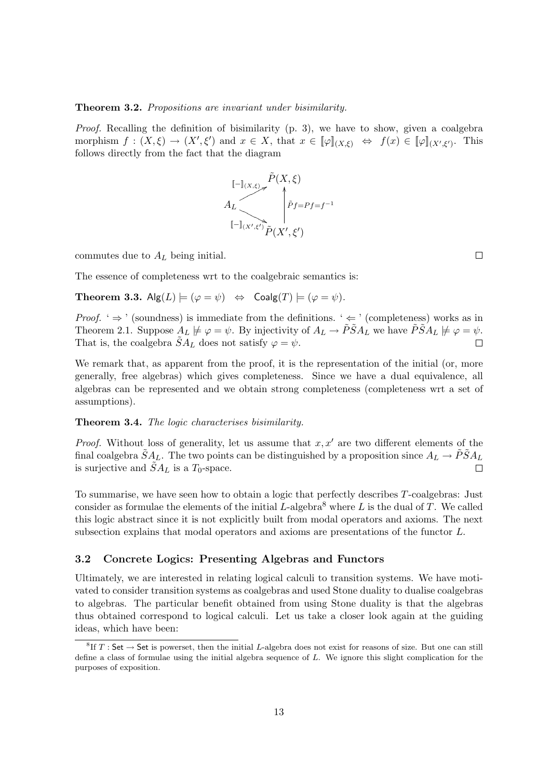#### Theorem 3.2. Propositions are invariant under bisimilarity.

Proof. Recalling the definition of bisimilarity (p. 3), we have to show, given a coalgebra morphism  $f: (X, \xi) \to (X', \xi')$  and  $x \in X$ , that  $x \in [\![\varphi]\!]_{(X, \xi)} \Leftrightarrow f(x) \in [\![\varphi]\!]_{(X', \xi')}$ . This follows directly from the fact that the diagram



commutes due to  $A_L$  being initial.

The essence of completeness wrt to the coalgebraic semantics is:

**Theorem 3.3.**  $\mathsf{Alg}(L) \models (\varphi = \psi) \Leftrightarrow \mathsf{Coalg}(T) \models (\varphi = \psi)$ .

*Proof.* '  $\Rightarrow$  ' (soundness) is immediate from the definitions. '  $\Leftarrow$  ' (completeness) works as in Theorem 2.1. Suppose  $A_L \not\models \varphi = \psi$ . By injectivity of  $A_L \to \tilde{P} \tilde{S} A_L$  we have  $\tilde{P} \tilde{S} A_L \not\models \varphi = \psi$ . That is, the coalgebra  $\tilde{S}A_L$  does not satisfy  $\varphi = \psi$ .  $\Box$ 

We remark that, as apparent from the proof, it is the representation of the initial (or, more generally, free algebras) which gives completeness. Since we have a dual equivalence, all algebras can be represented and we obtain strong completeness (completeness wrt a set of assumptions).

#### Theorem 3.4. The logic characterises bisimilarity.

*Proof.* Without loss of generality, let us assume that  $x, x'$  are two different elements of the final coalgebra  $\tilde{S}A_L$ . The two points can be distinguished by a proposition since  $A_L \to \tilde{P}\tilde{S}A_L$ is surjective and  $\tilde{S}A_L$  is a  $T_0$ -space.

To summarise, we have seen how to obtain a logic that perfectly describes T-coalgebras: Just consider as formulae the elements of the initial  $L$ -algebra<sup>8</sup> where L is the dual of T. We called this logic abstract since it is not explicitly built from modal operators and axioms. The next subsection explains that modal operators and axioms are presentations of the functor L.

### 3.2 Concrete Logics: Presenting Algebras and Functors

Ultimately, we are interested in relating logical calculi to transition systems. We have motivated to consider transition systems as coalgebras and used Stone duality to dualise coalgebras to algebras. The particular benefit obtained from using Stone duality is that the algebras thus obtained correspond to logical calculi. Let us take a closer look again at the guiding ideas, which have been:

 $\Box$ 

 ${}^{8}$ If T: Set  $\rightarrow$  Set is powerset, then the initial L-algebra does not exist for reasons of size. But one can still define a class of formulae using the initial algebra sequence of L. We ignore this slight complication for the purposes of exposition.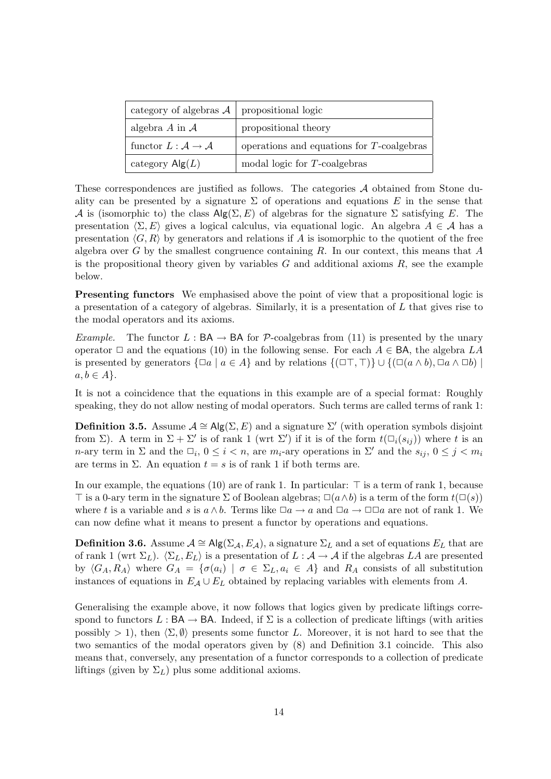| category of algebras $A \mid$ propositional logic |                                              |
|---------------------------------------------------|----------------------------------------------|
| algebra $A$ in $A$                                | propositional theory                         |
| functor $L : \mathcal{A} \to \mathcal{A}$         | operations and equations for $T$ -coalgebras |
| category $\mathsf{Alg}(L)$                        | modal logic for $T$ -coalgebras              |

These correspondences are justified as follows. The categories A obtained from Stone duality can be presented by a signature  $\Sigma$  of operations and equations E in the sense that A is (isomorphic to) the class  $\mathsf{Alg}(\Sigma, E)$  of algebras for the signature  $\Sigma$  satisfying E. The presentation  $\langle \Sigma, E \rangle$  gives a logical calculus, via equational logic. An algebra  $A \in \mathcal{A}$  has a presentation  $\langle G, R \rangle$  by generators and relations if A is isomorphic to the quotient of the free algebra over G by the smallest congruence containing R. In our context, this means that A is the propositional theory given by variables  $G$  and additional axioms  $R$ , see the example below.

**Presenting functors** We emphasised above the point of view that a propositional logic is a presentation of a category of algebras. Similarly, it is a presentation of  $L$  that gives rise to the modal operators and its axioms.

*Example.* The functor  $L : BA \to BA$  for P-coalgebras from (11) is presented by the unary operator  $\Box$  and the equations (10) in the following sense. For each  $A \in BA$ , the algebra LA is presented by generators  $\{\Box a \mid a \in A\}$  and by relations  $\{(\Box \top, \top)\} \cup \{(\Box (a \land b), \Box a \land \Box b)\}\$  $a, b \in A$ .

It is not a coincidence that the equations in this example are of a special format: Roughly speaking, they do not allow nesting of modal operators. Such terms are called terms of rank 1:

**Definition 3.5.** Assume  $A \cong \mathsf{Alg}(\Sigma, E)$  and a signature  $\Sigma'$  (with operation symbols disjoint from  $\Sigma$ ). A term in  $\Sigma + \Sigma'$  is of rank 1 (wrt  $\Sigma'$ ) if it is of the form  $t(\Box_i(s_{ij}))$  where t is an n-ary term in  $\Sigma$  and the  $\Box_i$ ,  $0 \leq i < n$ , are  $m_i$ -ary operations in  $\Sigma'$  and the  $s_{ij}$ ,  $0 \leq j < m_i$ are terms in  $\Sigma$ . An equation  $t = s$  is of rank 1 if both terms are.

In our example, the equations (10) are of rank 1. In particular:  $\top$  is a term of rank 1, because  $\top$  is a 0-ary term in the signature  $\Sigma$  of Boolean algebras;  $\square(a \wedge b)$  is a term of the form  $t(\square(s))$ where t is a variable and s is  $a \wedge b$ . Terms like  $\Box a \rightarrow a$  and  $\Box a \rightarrow \Box \Box a$  are not of rank 1. We can now define what it means to present a functor by operations and equations.

**Definition 3.6.** Assume  $A \cong Alg(\Sigma_A, E_A)$ , a signature  $\Sigma_L$  and a set of equations  $E_L$  that are of rank 1 (wrt  $\Sigma_L$ ).  $\langle \Sigma_L, E_L \rangle$  is a presentation of  $L : A \to A$  if the algebras LA are presented by  $\langle G_A, R_A \rangle$  where  $G_A = \{ \sigma(a_i) \mid \sigma \in \Sigma_L, a_i \in A \}$  and  $R_A$  consists of all substitution instances of equations in  $E_A \cup E_L$  obtained by replacing variables with elements from A.

Generalising the example above, it now follows that logics given by predicate liftings correspond to functors  $L : BA \to BA$ . Indeed, if  $\Sigma$  is a collection of predicate liftings (with arities possibly  $> 1$ ), then  $\langle \Sigma, \emptyset \rangle$  presents some functor L. Moreover, it is not hard to see that the two semantics of the modal operators given by (8) and Definition 3.1 coincide. This also means that, conversely, any presentation of a functor corresponds to a collection of predicate liftings (given by  $\Sigma_L$ ) plus some additional axioms.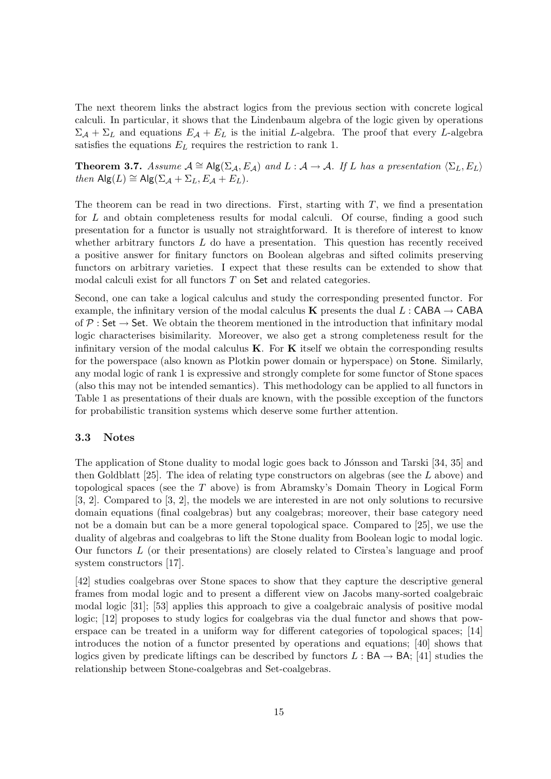The next theorem links the abstract logics from the previous section with concrete logical calculi. In particular, it shows that the Lindenbaum algebra of the logic given by operations  $\Sigma_A + \Sigma_L$  and equations  $E_A + E_L$  is the initial L-algebra. The proof that every L-algebra satisfies the equations  $E_L$  requires the restriction to rank 1.

**Theorem 3.7.** Assume  $A \cong \text{Alg}(\Sigma_A, E_A)$  and  $L : A \to A$ . If L has a presentation  $\langle \Sigma_L, E_L \rangle$ then  $\text{Alg}(L) \cong \text{Alg}(\Sigma_A + \Sigma_L, E_A + E_L).$ 

The theorem can be read in two directions. First, starting with  $T$ , we find a presentation for  $L$  and obtain completeness results for modal calculi. Of course, finding a good such presentation for a functor is usually not straightforward. It is therefore of interest to know whether arbitrary functors  $L$  do have a presentation. This question has recently received a positive answer for finitary functors on Boolean algebras and sifted colimits preserving functors on arbitrary varieties. I expect that these results can be extended to show that modal calculi exist for all functors T on Set and related categories.

Second, one can take a logical calculus and study the corresponding presented functor. For example, the infinitary version of the modal calculus **K** presents the dual L : CABA  $\rightarrow$  CABA of  $P: Set \rightarrow Set.$  We obtain the theorem mentioned in the introduction that infinitary modal logic characterises bisimilarity. Moreover, we also get a strong completeness result for the infinitary version of the modal calculus  $K$ . For  $K$  itself we obtain the corresponding results for the powerspace (also known as Plotkin power domain or hyperspace) on Stone. Similarly, any modal logic of rank 1 is expressive and strongly complete for some functor of Stone spaces (also this may not be intended semantics). This methodology can be applied to all functors in Table 1 as presentations of their duals are known, with the possible exception of the functors for probabilistic transition systems which deserve some further attention.

#### 3.3 Notes

The application of Stone duality to modal logic goes back to Jónsson and Tarski [34, 35] and then Goldblatt  $[25]$ . The idea of relating type constructors on algebras (see the L above) and topological spaces (see the T above) is from Abramsky's Domain Theory in Logical Form [3, 2]. Compared to [3, 2], the models we are interested in are not only solutions to recursive domain equations (final coalgebras) but any coalgebras; moreover, their base category need not be a domain but can be a more general topological space. Compared to [25], we use the duality of algebras and coalgebras to lift the Stone duality from Boolean logic to modal logic. Our functors  $L$  (or their presentations) are closely related to Cîrstea's language and proof system constructors [17].

[42] studies coalgebras over Stone spaces to show that they capture the descriptive general frames from modal logic and to present a different view on Jacobs many-sorted coalgebraic modal logic [31]; [53] applies this approach to give a coalgebraic analysis of positive modal logic; [12] proposes to study logics for coalgebras via the dual functor and shows that powerspace can be treated in a uniform way for different categories of topological spaces; [14] introduces the notion of a functor presented by operations and equations; [40] shows that logics given by predicate liftings can be described by functors  $L : BA \rightarrow BA$ ; [41] studies the relationship between Stone-coalgebras and Set-coalgebras.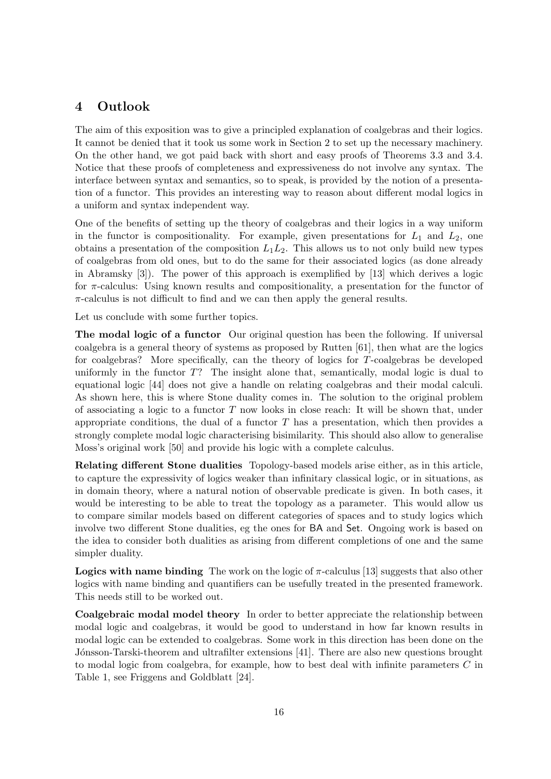# 4 Outlook

The aim of this exposition was to give a principled explanation of coalgebras and their logics. It cannot be denied that it took us some work in Section 2 to set up the necessary machinery. On the other hand, we got paid back with short and easy proofs of Theorems 3.3 and 3.4. Notice that these proofs of completeness and expressiveness do not involve any syntax. The interface between syntax and semantics, so to speak, is provided by the notion of a presentation of a functor. This provides an interesting way to reason about different modal logics in a uniform and syntax independent way.

One of the benefits of setting up the theory of coalgebras and their logics in a way uniform in the functor is compositionality. For example, given presentations for  $L_1$  and  $L_2$ , one obtains a presentation of the composition  $L_1L_2$ . This allows us to not only build new types of coalgebras from old ones, but to do the same for their associated logics (as done already in Abramsky [3]). The power of this approach is exemplified by [13] which derives a logic for  $\pi$ -calculus: Using known results and compositionality, a presentation for the functor of  $\pi$ -calculus is not difficult to find and we can then apply the general results.

Let us conclude with some further topics.

The modal logic of a functor Our original question has been the following. If universal coalgebra is a general theory of systems as proposed by Rutten [61], then what are the logics for coalgebras? More specifically, can the theory of logics for T-coalgebras be developed uniformly in the functor  $T$ ? The insight alone that, semantically, modal logic is dual to equational logic [44] does not give a handle on relating coalgebras and their modal calculi. As shown here, this is where Stone duality comes in. The solution to the original problem of associating a logic to a functor  $T$  now looks in close reach: It will be shown that, under appropriate conditions, the dual of a functor  $T$  has a presentation, which then provides a strongly complete modal logic characterising bisimilarity. This should also allow to generalise Moss's original work [50] and provide his logic with a complete calculus.

Relating different Stone dualities Topology-based models arise either, as in this article, to capture the expressivity of logics weaker than infinitary classical logic, or in situations, as in domain theory, where a natural notion of observable predicate is given. In both cases, it would be interesting to be able to treat the topology as a parameter. This would allow us to compare similar models based on different categories of spaces and to study logics which involve two different Stone dualities, eg the ones for BA and Set. Ongoing work is based on the idea to consider both dualities as arising from different completions of one and the same simpler duality.

**Logics with name binding** The work on the logic of  $\pi$ -calculus [13] suggests that also other logics with name binding and quantifiers can be usefully treated in the presented framework. This needs still to be worked out.

Coalgebraic modal model theory In order to better appreciate the relationship between modal logic and coalgebras, it would be good to understand in how far known results in modal logic can be extended to coalgebras. Some work in this direction has been done on the Jónsson-Tarski-theorem and ultrafilter extensions [41]. There are also new questions brought to modal logic from coalgebra, for example, how to best deal with infinite parameters C in Table 1, see Friggens and Goldblatt [24].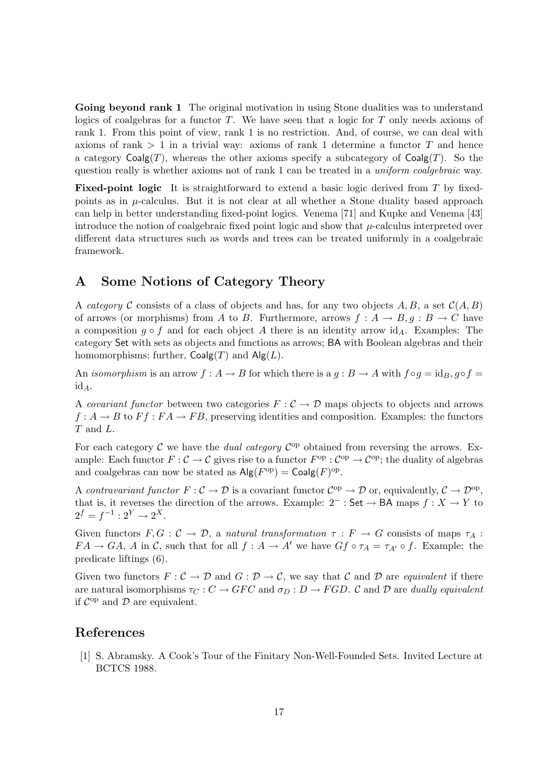Going beyond rank 1 The original motivation in using Stone dualities was to understand logics of coalgebras for a functor  $T$ . We have seen that a logic for  $T$  only needs axioms of rank 1. From this point of view, rank 1 is no restriction. And, of course, we can deal with axioms of rank  $> 1$  in a trivial way: axioms of rank 1 determine a functor T and hence a category  $\mathsf{Coalg}(T)$ , whereas the other axioms specify a subcategory of  $\mathsf{Coalg}(T)$ . So the question really is whether axioms not of rank 1 can be treated in a *uniform coalgebraic* way.

Fixed-point logic It is straightforward to extend a basic logic derived from T by fixedpoints as in  $\mu$ -calculus. But it is not clear at all whether a Stone duality based approach can help in better understanding fixed-point logics. Venema [71] and Kupke and Venema [43] introduce the notion of coalgebraic fixed point logic and show that  $\mu$ -calculus interpreted over different data structures such as words and trees can be treated uniformly in a coalgebraic framework.

# A Some Notions of Category Theory

A category C consists of a class of objects and has, for any two objects A, B, a set  $\mathcal{C}(A, B)$ of arrows (or morphisms) from A to B. Furthermore, arrows  $f: A \rightarrow B, g: B \rightarrow C$  have a composition  $q \circ f$  and for each object A there is an identity arrow id<sub>A</sub>. Examples: The category Set with sets as objects and functions as arrows; BA with Boolean algebras and their homomorphisms; further,  $Coalg(T)$  and  $Alg(L)$ .

An *isomorphism* is an arrow  $f : A \to B$  for which there is a  $g : B \to A$  with  $f \circ g = id_B$ ,  $g \circ f =$  $id_A$ .

A covariant functor between two categories  $F : C \to \mathcal{D}$  maps objects to objects and arrows  $f: A \to B$  to  $F f: FA \to FB$ , preserving identities and composition. Examples: the functors T and L.

For each category  $\mathcal C$  we have the *dual category*  $\mathcal C^{op}$  obtained from reversing the arrows. Example: Each functor  $F: \mathcal{C} \to \mathcal{C}$  gives rise to a functor  $F^{\rm op} : \mathcal{C}^{\rm op} \to \mathcal{C}^{\rm op}$ ; the duality of algebras and coalgebras can now be stated as  $\mathsf{Alg}(F^{\text{op}}) = \mathsf{Coalg}(F)^{\text{op}}$ .

A contravariant functor  $F: \mathcal{C} \to \mathcal{D}$  is a covariant functor  $\mathcal{C}^{\text{op}} \to \mathcal{D}$  or, equivalently,  $\mathcal{C} \to \mathcal{D}^{\text{op}}$ , that is, it reverses the direction of the arrows. Example:  $2^-$ : Set  $\rightarrow$  BA maps  $f : X \rightarrow Y$  to  $2^f = f^{-1} : 2^Y \to 2^X$ .

Given functors  $F, G: \mathcal{C} \to \mathcal{D}$ , a natural transformation  $\tau: F \to G$  consists of maps  $\tau_A$ :  $FA \to GA$ , A in C, such that for all  $f : A \to A'$  we have  $Gf \circ \tau_A = \tau_{A'} \circ f$ . Example: the predicate liftings (6).

Given two functors  $F: \mathcal{C} \to \mathcal{D}$  and  $G: \mathcal{D} \to \mathcal{C}$ , we say that  $\mathcal{C}$  and  $\mathcal{D}$  are *equivalent* if there are natural isomorphisms  $\tau_C : C \to GFC$  and  $\sigma_D : D \to FGD$ . C and D are dually equivalent if  $\mathcal{C}^{op}$  and  $\mathcal D$  are equivalent.

## References

[1] S. Abramsky. A Cook's Tour of the Finitary Non-Well-Founded Sets. Invited Lecture at BCTCS 1988.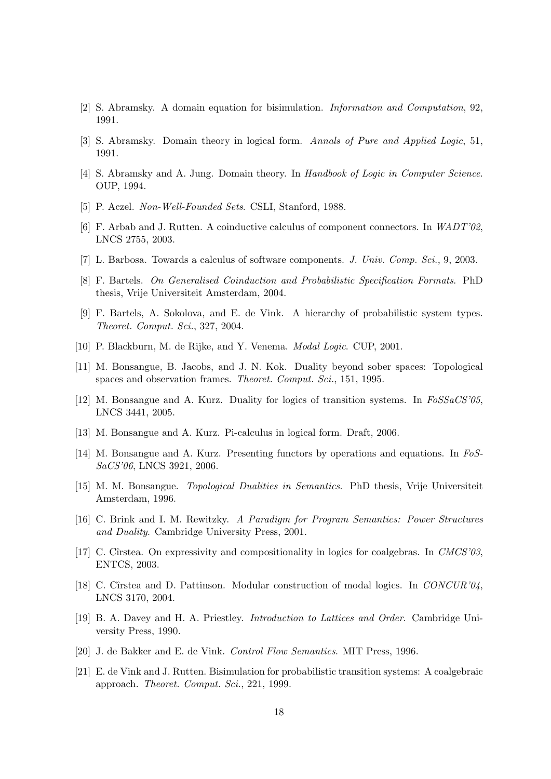- [2] S. Abramsky. A domain equation for bisimulation. Information and Computation, 92, 1991.
- [3] S. Abramsky. Domain theory in logical form. Annals of Pure and Applied Logic, 51, 1991.
- [4] S. Abramsky and A. Jung. Domain theory. In Handbook of Logic in Computer Science. OUP, 1994.
- [5] P. Aczel. Non-Well-Founded Sets. CSLI, Stanford, 1988.
- [6] F. Arbab and J. Rutten. A coinductive calculus of component connectors. In WADT'02, LNCS 2755, 2003.
- [7] L. Barbosa. Towards a calculus of software components. J. Univ. Comp. Sci., 9, 2003.
- [8] F. Bartels. On Generalised Coinduction and Probabilistic Specification Formats. PhD thesis, Vrije Universiteit Amsterdam, 2004.
- [9] F. Bartels, A. Sokolova, and E. de Vink. A hierarchy of probabilistic system types. Theoret. Comput. Sci., 327, 2004.
- [10] P. Blackburn, M. de Rijke, and Y. Venema. *Modal Logic*. CUP, 2001.
- [11] M. Bonsangue, B. Jacobs, and J. N. Kok. Duality beyond sober spaces: Topological spaces and observation frames. Theoret. Comput. Sci., 151, 1995.
- [12] M. Bonsangue and A. Kurz. Duality for logics of transition systems. In FoSSaCS'05, LNCS 3441, 2005.
- [13] M. Bonsangue and A. Kurz. Pi-calculus in logical form. Draft, 2006.
- [14] M. Bonsangue and A. Kurz. Presenting functors by operations and equations. In FoS-SaCS'06, LNCS 3921, 2006.
- [15] M. M. Bonsangue. Topological Dualities in Semantics. PhD thesis, Vrije Universiteit Amsterdam, 1996.
- [16] C. Brink and I. M. Rewitzky. A Paradigm for Program Semantics: Power Structures and Duality. Cambridge University Press, 2001.
- [17] C. Cîrstea. On expressivity and compositionality in logics for coalgebras. In CMCS'03, ENTCS, 2003.
- [18] C. Cîrstea and D. Pattinson. Modular construction of modal logics. In  $CONCUR'04$ , LNCS 3170, 2004.
- [19] B. A. Davey and H. A. Priestley. Introduction to Lattices and Order. Cambridge University Press, 1990.
- [20] J. de Bakker and E. de Vink. Control Flow Semantics. MIT Press, 1996.
- [21] E. de Vink and J. Rutten. Bisimulation for probabilistic transition systems: A coalgebraic approach. Theoret. Comput. Sci., 221, 1999.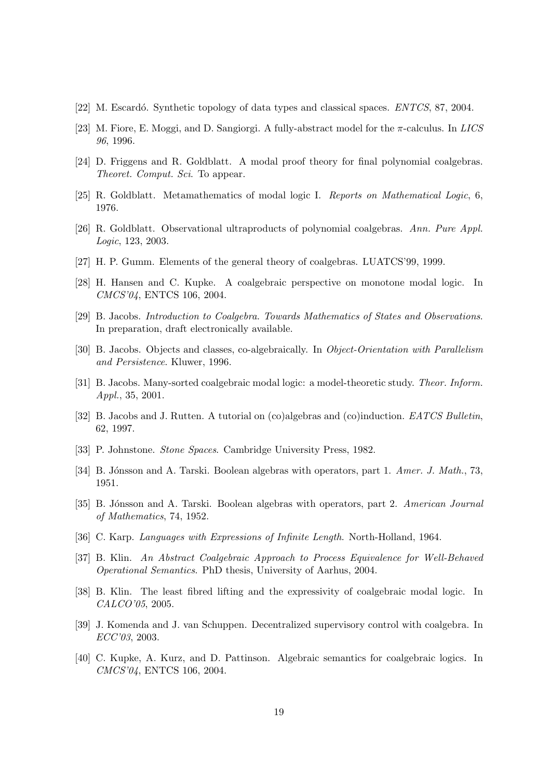- [22] M. Escardó. Synthetic topology of data types and classical spaces. ENTCS, 87, 2004.
- [23] M. Fiore, E. Moggi, and D. Sangiorgi. A fully-abstract model for the  $\pi$ -calculus. In LICS 96, 1996.
- [24] D. Friggens and R. Goldblatt. A modal proof theory for final polynomial coalgebras. Theoret. Comput. Sci. To appear.
- [25] R. Goldblatt. Metamathematics of modal logic I. Reports on Mathematical Logic, 6, 1976.
- [26] R. Goldblatt. Observational ultraproducts of polynomial coalgebras. Ann. Pure Appl. Logic, 123, 2003.
- [27] H. P. Gumm. Elements of the general theory of coalgebras. LUATCS'99, 1999.
- [28] H. Hansen and C. Kupke. A coalgebraic perspective on monotone modal logic. In CMCS'04, ENTCS 106, 2004.
- [29] B. Jacobs. Introduction to Coalgebra. Towards Mathematics of States and Observations. In preparation, draft electronically available.
- [30] B. Jacobs. Objects and classes, co-algebraically. In Object-Orientation with Parallelism and Persistence. Kluwer, 1996.
- [31] B. Jacobs. Many-sorted coalgebraic modal logic: a model-theoretic study. Theor. Inform. Appl., 35, 2001.
- [32] B. Jacobs and J. Rutten. A tutorial on (co)algebras and (co)induction. EATCS Bulletin, 62, 1997.
- [33] P. Johnstone. Stone Spaces. Cambridge University Press, 1982.
- [34] B. Jónsson and A. Tarski. Boolean algebras with operators, part 1. Amer. J. Math., 73, 1951.
- [35] B. Jónsson and A. Tarski. Boolean algebras with operators, part 2. American Journal of Mathematics, 74, 1952.
- [36] C. Karp. Languages with Expressions of Infinite Length. North-Holland, 1964.
- [37] B. Klin. An Abstract Coalgebraic Approach to Process Equivalence for Well-Behaved Operational Semantics. PhD thesis, University of Aarhus, 2004.
- [38] B. Klin. The least fibred lifting and the expressivity of coalgebraic modal logic. In CALCO'05, 2005.
- [39] J. Komenda and J. van Schuppen. Decentralized supervisory control with coalgebra. In ECC'03, 2003.
- [40] C. Kupke, A. Kurz, and D. Pattinson. Algebraic semantics for coalgebraic logics. In CMCS'04, ENTCS 106, 2004.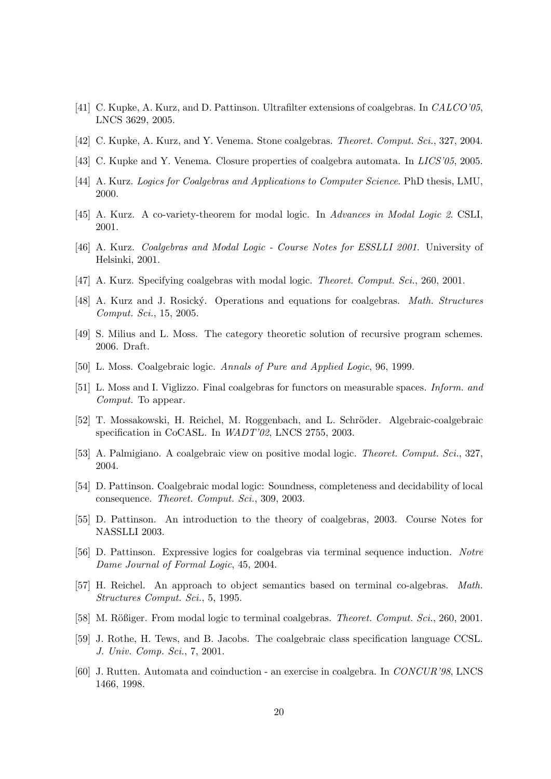- [41] C. Kupke, A. Kurz, and D. Pattinson. Ultrafilter extensions of coalgebras. In CALCO'05, LNCS 3629, 2005.
- [42] C. Kupke, A. Kurz, and Y. Venema. Stone coalgebras. Theoret. Comput. Sci., 327, 2004.
- [43] C. Kupke and Y. Venema. Closure properties of coalgebra automata. In *LICS'05*, 2005.
- [44] A. Kurz. Logics for Coalgebras and Applications to Computer Science. PhD thesis, LMU, 2000.
- [45] A. Kurz. A co-variety-theorem for modal logic. In Advances in Modal Logic 2. CSLI, 2001.
- [46] A. Kurz. Coalgebras and Modal Logic Course Notes for ESSLLI 2001. University of Helsinki, 2001.
- [47] A. Kurz. Specifying coalgebras with modal logic. Theoret. Comput. Sci., 260, 2001.
- [48] A. Kurz and J. Rosický. Operations and equations for coalgebras. Math. Structures Comput. Sci., 15, 2005.
- [49] S. Milius and L. Moss. The category theoretic solution of recursive program schemes. 2006. Draft.
- [50] L. Moss. Coalgebraic logic. Annals of Pure and Applied Logic, 96, 1999.
- [51] L. Moss and I. Viglizzo. Final coalgebras for functors on measurable spaces. Inform. and Comput. To appear.
- [52] T. Mossakowski, H. Reichel, M. Roggenbach, and L. Schröder. Algebraic-coalgebraic specification in CoCASL. In WADT'02, LNCS 2755, 2003.
- [53] A. Palmigiano. A coalgebraic view on positive modal logic. Theoret. Comput. Sci., 327, 2004.
- [54] D. Pattinson. Coalgebraic modal logic: Soundness, completeness and decidability of local consequence. Theoret. Comput. Sci., 309, 2003.
- [55] D. Pattinson. An introduction to the theory of coalgebras, 2003. Course Notes for NASSLLI 2003.
- [56] D. Pattinson. Expressive logics for coalgebras via terminal sequence induction. Notre Dame Journal of Formal Logic, 45, 2004.
- [57] H. Reichel. An approach to object semantics based on terminal co-algebras. Math. Structures Comput. Sci., 5, 1995.
- [58] M. Rößiger. From modal logic to terminal coalgebras. *Theoret. Comput. Sci.*, 260, 2001.
- [59] J. Rothe, H. Tews, and B. Jacobs. The coalgebraic class specification language CCSL. J. Univ. Comp. Sci., 7, 2001.
- [60] J. Rutten. Automata and coinduction an exercise in coalgebra. In CONCUR'98, LNCS 1466, 1998.